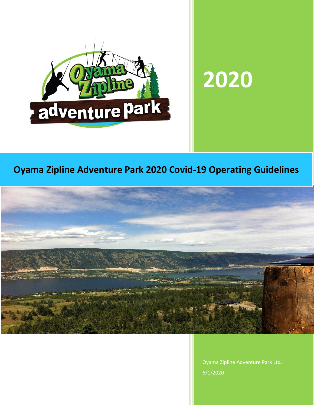

# **2020**

# **Oyama Zipline Adventure Park 2020 Covid-19 Operating Guidelines**



Oyama Zipline Adventure Park Ltd. 6/1/2020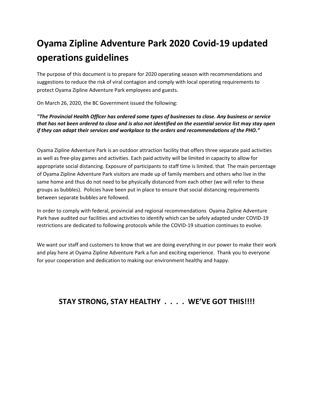# **Oyama Zipline Adventure Park 2020 Covid-19 updated operations guidelines**

The purpose of this document is to prepare for 2020 operating season with recommendations and suggestions to reduce the risk of viral contagion and comply with local operating requirements to protect Oyama Zipline Adventure Park employees and guests.

On March 26, 2020, the BC Government issued the following:

*"The Provincial Health Officer has ordered some types of businesses to close. Any business or service that has not been ordered to close and is also not identified on the essential service list may stay open if they can adapt their services and workplace to the orders and recommendations of the PHO."*

Oyama Zipline Adventure Park is an outdoor attraction facility that offers three separate paid activities as well as free-play games and activities. Each paid activity will be limited in capacity to allow for appropriate social distancing. Exposure of participants to staff time is limited. that The main percentage of Oyama Zipline Adventure Park visitors are made up of family members and others who live in the same home and thus do not need to be physically distanced from each other (we will refer to these groups as bubbles). Policies have been put in place to ensure that social distancing requirements between separate bubbles are followed.

In order to comply with federal, provincial and regional recommendations Oyama Zipline Adventure Park have audited our facilities and activities to identify which can be safely adapted under COVID-19 restrictions are dedicated to following protocols while the COVID-19 situation continues to evolve.

We want our staff and customers to know that we are doing everything in our power to make their work and play here at Oyama Zipline Adventure Park a fun and exciting experience. Thank you to everyone for your cooperation and dedication to making our environment healthy and happy.

## **STAY STRONG, STAY HEALTHY . . . . WE'VE GOT THIS!!!!**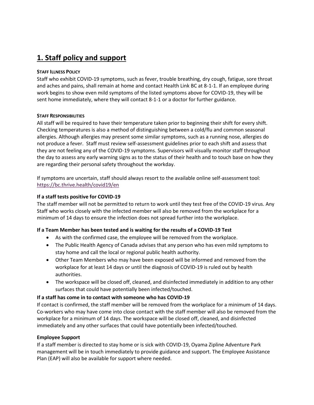## **1. Staff policy and support**

#### **STAFF ILLNESS POLICY**

Staff who exhibit COVID-19 symptoms, such as fever, trouble breathing, dry cough, fatigue, sore throat and aches and pains, shall remain at home and contact Health Link BC at 8-1-1. If an employee during work begins to show even mild symptoms of the listed symptoms above for COVID-19, they will be sent home immediately, where they will contact 8-1-1 or a doctor for further guidance.

#### **STAFF RESPONSIBILITIES**

All staff will be required to have their temperature taken prior to beginning their shift for every shift. Checking temperatures is also a method of distinguishing between a cold/flu and common seasonal allergies. Although allergies may present some similar symptoms, such as a running nose, allergies do not produce a fever. Staff must review self-assessment guidelines prior to each shift and assess that they are not feeling any of the COVID-19 symptoms. Supervisors will visually monitor staff throughout the day to assess any early warning signs as to the status of their health and to touch base on how they are regarding their personal safety throughout the workday.

If symptoms are uncertain, staff should always resort to the available online self-assessment tool: <https://bc.thrive.health/covid19/en>

#### **If a staff tests positive for COVID-19**

The staff member will not be permitted to return to work until they test free of the COVID-19 virus. Any Staff who works closely with the infected member will also be removed from the workplace for a minimum of 14 days to ensure the infection does not spread further into the workplace.

#### **If a Team Member has been tested and is waiting for the results of a COVID-19 Test**

- As with the confirmed case, the employee will be removed from the workplace.
- The Public Health Agency of Canada advises that any person who has even mild symptoms to stay home and call the local or regional public health authority.
- Other Team Members who may have been exposed will be informed and removed from the workplace for at least 14 days or until the diagnosis of COVID-19 is ruled out by health authorities.
- The workspace will be closed off, cleaned, and disinfected immediately in addition to any other surfaces that could have potentially been infected/touched.

#### **If a staff has come in to contact with someone who has COVID-19**

If contact is confirmed, the staff member will be removed from the workplace for a minimum of 14 days. Co-workers who may have come into close contact with the staff member will also be removed from the workplace for a minimum of 14 days. The workspace will be closed off, cleaned, and disinfected immediately and any other surfaces that could have potentially been infected/touched.

#### **Employee Support**

If a staff member is directed to stay home or is sick with COVID-19, Oyama Zipline Adventure Park management will be in touch immediately to provide guidance and support. The Employee Assistance Plan (EAP) will also be available for support where needed.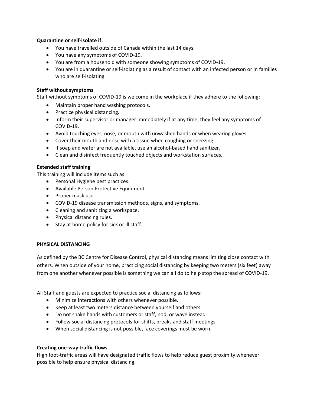#### **Quarantine or self-isolate if:**

- You have travelled outside of Canada within the last 14 days.
- You have any symptoms of COVID-19.
- You are from a household with someone showing symptoms of COVID-19.
- You are in quarantine or self-isolating as a result of contact with an infected person or in families who are self-isolating

#### **Staff without symptoms**

Staff without symptoms of COVID-19 is welcome in the workplace if they adhere to the following:

- Maintain proper hand washing protocols.
- Practice physical distancing.
- Inform their supervisor or manager immediately if at any time, they feel any symptoms of COVID-19.
- Avoid touching eyes, nose, or mouth with unwashed hands or when wearing gloves.
- Cover their mouth and nose with a tissue when coughing or sneezing.
- If soap and water are not available, use an alcohol-based hand sanitizer.
- Clean and disinfect frequently touched objects and workstation surfaces.

#### **Extended staff training**

This training will include items such as:

- Personal Hygiene best practices.
- Available Person Protective Equipment.
- Proper mask use.
- COVID-19 disease transmission methods, signs, and symptoms.
- Cleaning and sanitizing a workspace.
- Physical distancing rules.
- Stay at home policy for sick or ill staff.

#### **PHYSICAL DISTANCING**

As defined by the BC Centre for Disease Control, physical distancing means limiting close contact with others. When outside of your home, practicing social distancing by keeping two meters (six feet) away from one another whenever possible is something we can all do to help stop the spread of COVID-19.

All Staff and guests are expected to practice social distancing as follows:

- Minimize interactions with others whenever possible.
- Keep at least two meters distance between yourself and others.
- Do not shake hands with customers or staff, nod, or wave instead.
- Follow social distancing protocols for shifts, breaks and staff meetings.
- When social distancing is not possible, face coverings must be worn.

#### **Creating one-way traffic flows**

High foot-traffic areas will have designated traffic flows to help reduce guest proximity whenever possible to help ensure physical distancing.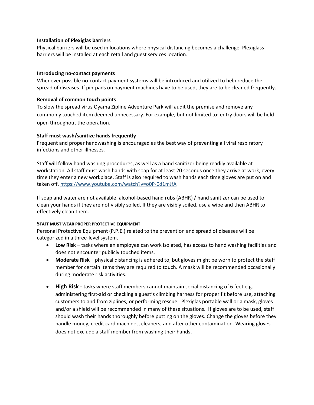#### **Installation of Plexiglas barriers**

Physical barriers will be used in locations where physical distancing becomes a challenge. Plexiglass barriers will be installed at each retail and guest services location.

#### **Introducing no-contact payments**

Whenever possible no-contact payment systems will be introduced and utilized to help reduce the spread of diseases. If pin-pads on payment machines have to be used, they are to be cleaned frequently.

#### **Removal of common touch points**

To slow the spread virus Oyama Zipline Adventure Park will audit the premise and remove any commonly touched item deemed unnecessary. For example, but not limited to: entry doors will be held open throughout the operation.

#### **Staff must wash/sanitize hands frequently**

Frequent and proper handwashing is encouraged as the best way of preventing all viral respiratory infections and other illnesses.

Staff will follow hand washing procedures, as well as a hand sanitizer being readily available at workstation. All staff must wash hands with soap for at least 20 seconds once they arrive at work, every time they enter a new workplace. Staff is also required to wash hands each time gloves are put on and taken off[. https://www.youtube.com/watch?v=o0P-0d1mJfA](https://www.youtube.com/watch?v=o0P-0d1mJfA)

If soap and water are not available, alcohol-based hand rubs (ABHR) / hand sanitizer can be used to clean your hands if they are not visibly soiled. If they are visibly soiled, use a wipe and then ABHR to effectively clean them.

#### **STAFF MUST WEAR PROPER PROTECTIVE EQUIPMENT**

Personal Protective Equipment (P.P.E.) related to the prevention and spread of diseases will be categorized in a three-level system.

- **Low Risk** tasks where an employee can work isolated, has access to hand washing facilities and does not encounter publicly touched items.
- **Moderate Risk** physical distancing is adhered to, but gloves might be worn to protect the staff member for certain items they are required to touch. A mask will be recommended occasionally during moderate risk activities.
- **High Risk** tasks where staff members cannot maintain social distancing of 6 feet e.g. administering first-aid or checking a guest's climbing harness for proper fit before use, attaching customers to and from ziplines, or performing rescue. Plexiglas portable wall or a mask, gloves and/or a shield will be recommended in many of these situations. If gloves are to be used, staff should wash their hands thoroughly before putting on the gloves. Change the gloves before they handle money, credit card machines, cleaners, and after other contamination. Wearing gloves does not exclude a staff member from washing their hands.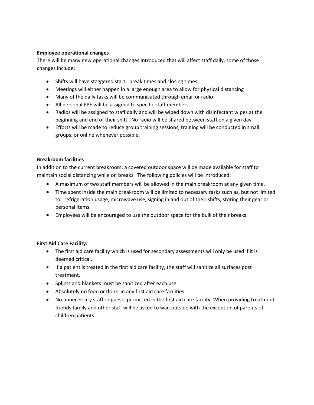#### **Employee operational changes**

There will be many new operational changes introduced that will affect staff daily, some of those changes include:

- Shifts will have staggered start, break times and closing times
- Meetings will either happen in a large enough area to allow for physical distancing
- Many of the daily tasks will be communicated through email or radio
- All personal PPE will be assigned to specific staff members.
- Radios will be assigned to staff daily and will be wiped down with disinfectant wipes at the beginning and end of their shift. No radio will be shared between staff on a given day.
- Efforts will be made to reduce group training sessions, training will be conducted in small groups, or online whenever possible.

#### **Breakroom facilities**

In addition to the current breakroom, a covered outdoor space will be made available for staff to maintain social distancing while on breaks. The following policies will be introduced:

- A maximum of two staff members will be allowed in the main breakroom at any given time.
- Time spent inside the main breakroom will be limited to necessary tasks such as, but not limited to: refrigeration usage, microwave use, signing in and out of their shifts, storing their gear or personal items.
- Employees will be encouraged to use the outdoor space for the bulk of their breaks.

#### **First Aid Care Facility:**

- The first aid care facility which is used for secondary assessments will only be used if it is deemed critical.
- If a patient is treated in the first aid care facility, the staff will sanitize all surfaces post treatment.
- Splints and blankets must be sanitized after each use.
- Absolutely no food or drink in any first aid care facilities.
- No unnecessary staff or guests permitted in the first aid care facility. When providing treatment friends family and other staff will be asked to wait outside with the exception of parents of children patients.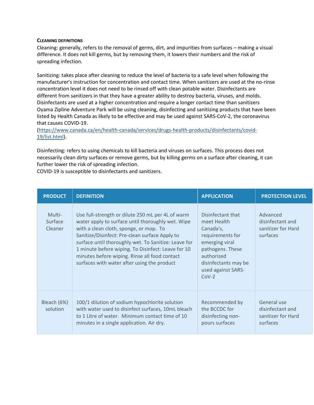#### **CLEANING DEFINITIONS**

Cleaning: generally, refers to the removal of germs, dirt, and impurities from surfaces – making a visual difference. It does not kill germs, but by removing them, it lowers their numbers and the risk of spreading infection.

Sanitizing: takes place after cleaning to reduce the level of bacteria to a safe level when following the manufacturer's instruction for concentration and contact time. When sanitizers are used at the no-rinse concentration level it does not need to be rinsed off with clean potable water. Disinfectants are different from sanitizers in that they have a greater ability to destroy bacteria, viruses, and molds. Disinfectants are used at a higher concentration and require a longer contact time than sanitizers Oyama Zipline Adventure Park will be using cleaning, disinfecting and sanitizing products that have been listed by Health Canada as likely to be effective and may be used against SARS-CoV-2, the coronavirus that causes COVID-19.

[\(https://www.canada.ca/en/health-canada/services/drugs-health-products/disinfectants/covid-](https://www.canada.ca/en/health-canada/services/drugs-health-products/disinfectants/covid-19/list.html)[19/list.html\)](https://www.canada.ca/en/health-canada/services/drugs-health-products/disinfectants/covid-19/list.html).

Disinfecting: refers to using chemicals to kill bacteria and viruses on surfaces. This process does not necessarily clean dirty surfaces or remove germs, but by killing germs on a surface after cleaning, it can further lower the risk of spreading infection.

COVID-19 is susceptible to disinfectants and sanitizers.

| <b>PRODUCT</b>               | <b>DEFINITION</b>                                                                                                                                                                                                                                                                                                                                                                                                | <b>APPLICATION</b>                                                                                                                                                             | <b>PROTECTION LEVEL</b>                                           |
|------------------------------|------------------------------------------------------------------------------------------------------------------------------------------------------------------------------------------------------------------------------------------------------------------------------------------------------------------------------------------------------------------------------------------------------------------|--------------------------------------------------------------------------------------------------------------------------------------------------------------------------------|-------------------------------------------------------------------|
| Multi-<br>Surface<br>Cleaner | Use full-strength or dilute 250 mL per 4L of warm<br>water apply to surface until thoroughly wet. Wipe<br>with a clean cloth, sponge, or mop. To<br>Sanitize/Disinfect: Pre-clean surface Apply to<br>surface until thoroughly wet. To Sanitize: Leave for<br>1 minute before wiping. To Disinfect: Leave for 10<br>minutes before wiping. Rinse all food contact<br>surfaces with water after using the product | Disinfectant that<br>meet Health<br>Canada's,<br>requirements for<br>emerging viral<br>pathogens. These<br>authorized<br>disinfectants may be<br>used against SARS-<br>$COV-2$ | Advanced<br>disinfectant and<br>sanitizer for Hard<br>surfaces    |
| Bleach (6%)<br>solution      | 100/1 dilution of sodium hypochlorite solution<br>with water used to disinfect surfaces, 10mL bleach<br>to 1 Litre of water. Minimum contact time of 10<br>minutes in a single application. Air dry.                                                                                                                                                                                                             | Recommended by<br>the BCCDC for<br>disinfecting non-<br>pours surfaces                                                                                                         | General use<br>disinfectant and<br>sanitizer for Hard<br>surfaces |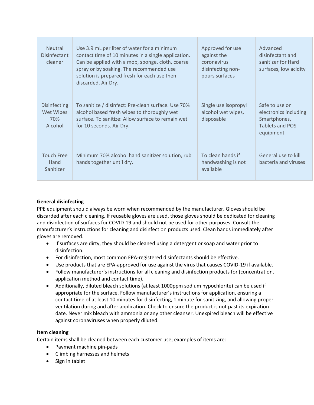| <b>Neutral</b><br>Disinfectant<br>cleaner   | Use 3.9 mL per liter of water for a minimum<br>contact time of 10 minutes in a single application.<br>Can be applied with a mop, sponge, cloth, coarse<br>spray or by soaking. The recommended use<br>solution is prepared fresh for each use then<br>discarded. Air Dry. | Approved for use<br>against the<br>coronavirus<br>disinfecting non-<br>pours surfaces | Advanced<br>disinfectant and<br>sanitizer for Hard<br>surfaces, low acidity                    |
|---------------------------------------------|---------------------------------------------------------------------------------------------------------------------------------------------------------------------------------------------------------------------------------------------------------------------------|---------------------------------------------------------------------------------------|------------------------------------------------------------------------------------------------|
| Disinfecting<br>Wet Wipes<br>70%<br>Alcohol | To sanitize / disinfect: Pre-clean surface. Use 70%<br>alcohol based fresh wipes to thoroughly wet<br>surface. To sanitize: Allow surface to remain wet<br>for 10 seconds. Air Dry.                                                                                       | Single use isopropyl<br>alcohol wet wipes,<br>disposable                              | Safe to use on<br>electronics including<br>Smartphones,<br><b>Tablets and POS</b><br>equipment |
| <b>Touch Free</b><br>Hand<br>Sanitizer      | Minimum 70% alcohol hand sanitizer solution, rub<br>hands together until dry.                                                                                                                                                                                             | To clean hands if<br>handwashing is not<br>available                                  | General use to kill<br>bacteria and viruses                                                    |

#### **General disinfecting**

PPE equipment should always be worn when recommended by the manufacturer. Gloves should be discarded after each cleaning. If reusable gloves are used, those gloves should be dedicated for cleaning and disinfection of surfaces for COVID-19 and should not be used for other purposes. Consult the manufacturer's instructions for cleaning and disinfection products used. Clean hands immediately after gloves are removed.

- If surfaces are dirty, they should be cleaned using a detergent or soap and water prior to disinfection.
- For disinfection, most common EPA-registered disinfectants should be effective.
- Use products that are EPA-approved for use against the virus that causes COVID-19 if available.
- Follow manufacturer's instructions for all cleaning and disinfection products for (concentration, application method and contact time).
- Additionally, diluted bleach solutions (at least 1000ppm sodium hypochlorite) can be used if appropriate for the surface. Follow manufacturer's instructions for application, ensuring a contact time of at least 10 minutes for disinfecting, 1 minute for sanitizing, and allowing proper ventilation during and after application. Check to ensure the product is not past its expiration date. Never mix bleach with ammonia or any other cleanser. Unexpired bleach will be effective against coronaviruses when properly diluted.

#### **Item cleaning**

Certain items shall be cleaned between each customer use; examples of items are:

- Payment machine pin-pads
- Climbing harnesses and helmets
- Sign in tablet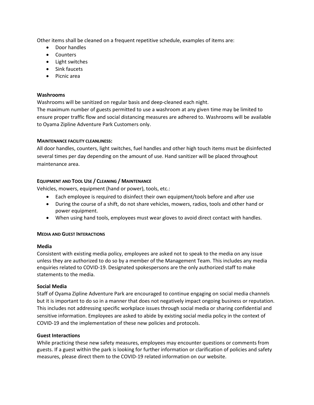Other items shall be cleaned on a frequent repetitive schedule, examples of items are:

- Door handles
- Counters
- Light switches
- Sink faucets
- Picnic area

#### **Washrooms**

Washrooms will be sanitized on regular basis and deep-cleaned each night.

The maximum number of guests permitted to use a washroom at any given time may be limited to ensure proper traffic flow and social distancing measures are adhered to. Washrooms will be available to Oyama Zipline Adventure Park Customers only.

#### **MAINTENANCE FACILITY CLEANLINESS:**

All door handles, counters, light switches, fuel handles and other high touch items must be disinfected several times per day depending on the amount of use. Hand sanitizer will be placed throughout maintenance area.

#### **EQUIPMENT AND TOOL USE / CLEANING / MAINTENANCE**

Vehicles, mowers, equipment (hand or power), tools, etc.:

- Each employee is required to disinfect their own equipment/tools before and after use
- During the course of a shift, do not share vehicles, mowers, radios, tools and other hand or power equipment.
- When using hand tools, employees must wear gloves to avoid direct contact with handles.

#### **MEDIA AND GUEST INTERACTIONS**

#### **Media**

Consistent with existing media policy, employees are asked not to speak to the media on any issue unless they are authorized to do so by a member of the Management Team. This includes any media enquiries related to COVID-19. Designated spokespersons are the only authorized staff to make statements to the media.

#### **Social Media**

Staff of Oyama Zipline Adventure Park are encouraged to continue engaging on social media channels but it is important to do so in a manner that does not negatively impact ongoing business or reputation. This includes not addressing specific workplace issues through social media or sharing confidential and sensitive information. Employees are asked to abide by existing social media policy in the context of COVID-19 and the implementation of these new policies and protocols.

#### **Guest Interactions**

While practicing these new safety measures, employees may encounter questions or comments from guests. If a guest within the park is looking for further information or clarification of policies and safety measures, please direct them to the COVID-19 related information on our website.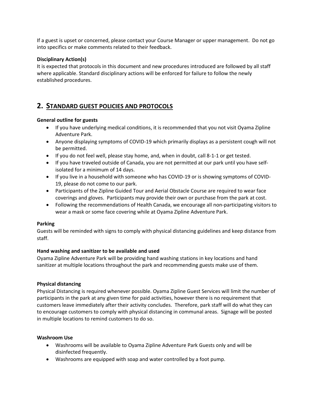If a guest is upset or concerned, please contact your Course Manager or upper management. Do not go into specifics or make comments related to their feedback.

#### **Disciplinary Action(s)**

It is expected that protocols in this document and new procedures introduced are followed by all staff where applicable. Standard disciplinary actions will be enforced for failure to follow the newly established procedures.

### **2. STANDARD GUEST POLICIES AND PROTOCOLS**

#### **General outline for guests**

- If you have underlying medical conditions, it is recommended that you not visit Oyama Zipline Adventure Park.
- Anyone displaying symptoms of COVID-19 which primarily displays as a persistent cough will not be permitted.
- If you do not feel well, please stay home, and, when in doubt, call 8-1-1 or get tested.
- If you have traveled outside of Canada, you are not permitted at our park until you have selfisolated for a minimum of 14 days.
- If you live in a household with someone who has COVID-19 or is showing symptoms of COVID-19, please do not come to our park.
- Participants of the Zipline Guided Tour and Aerial Obstacle Course are required to wear face coverings and gloves. Participants may provide their own or purchase from the park at cost.
- Following the recommendations of Health Canada, we encourage all non-participating visitors to wear a mask or some face covering while at Oyama Zipline Adventure Park.

#### **Parking**

Guests will be reminded with signs to comply with physical distancing guidelines and keep distance from staff.

#### **Hand washing and sanitizer to be available and used**

Oyama Zipline Adventure Park will be providing hand washing stations in key locations and hand sanitizer at multiple locations throughout the park and recommending guests make use of them.

#### **Physical distancing**

Physical Distancing is required whenever possible. Oyama Zipline Guest Services will limit the number of participants in the park at any given time for paid activities, however there is no requirement that customers leave immediately after their activity concludes. Therefore, park staff will do what they can to encourage customers to comply with physical distancing in communal areas. Signage will be posted in multiple locations to remind customers to do so.

#### **Washroom Use**

- Washrooms will be available to Oyama Zipline Adventure Park Guests only and will be disinfected frequently.
- Washrooms are equipped with soap and water controlled by a foot pump.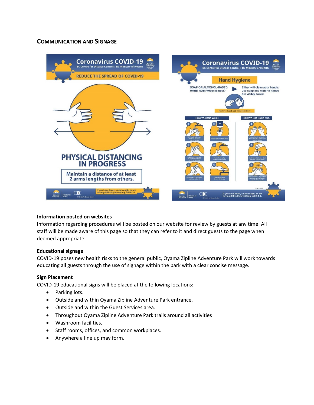#### **COMMUNICATION AND SIGNAGE**



#### **Information posted on websites**

Information regarding procedures will be posted on our website for review by guests at any time. All staff will be made aware of this page so that they can refer to it and direct guests to the page when deemed appropriate.

#### **Educational signage**

COVID-19 poses new health risks to the general public, Oyama Zipline Adventure Park will work towards educating all guests through the use of signage within the park with a clear concise message.

#### **Sign Placement**

COVID-19 educational signs will be placed at the following locations:

- Parking lots.
- Outside and within Oyama Zipline Adventure Park entrance.
- Outside and within the Guest Services area.
- Throughout Oyama Zipline Adventure Park trails around all activities
- Washroom facilities.
- Staff rooms, offices, and common workplaces.
- Anywhere a line up may form.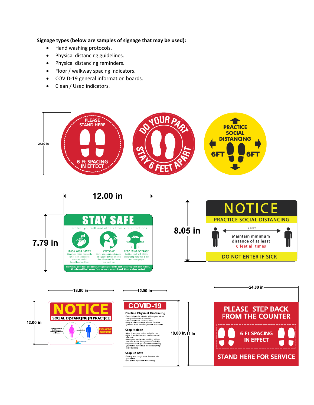#### **Signage types (below are samples of signage that may be used):**

- Hand washing protocols.
- Physical distancing guidelines.
- Physical distancing reminders.
- Floor / walkway spacing indicators.
- COVID-19 general information boards.
- Clean / Used indicators.